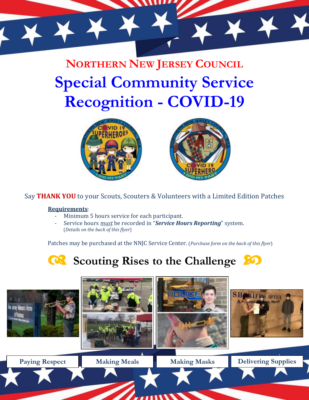

**NORTHERN NEW JERSEY COUNCIL Special Community Service Recognition - COVID-19**





Say **THANK YOU** to your Scouts, Scouters & Volunteers with a Limited Edition Patches

## **Requirements**:

- Minimum 5 hours service for each participant.
- Service hours *must* be recorded in "*Service Hours Reporting*" system. (*Details on the back of this flyer*)

Patches may be purchased at the NNJC Service Center. (*Purchase form on the back of this flyer*)



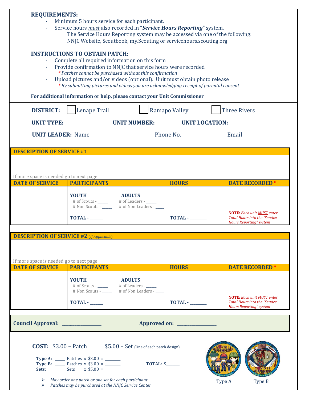| <b>REQUIREMENTS:</b><br>Minimum 5 hours service for each participant.<br>Service hours <i>must</i> also recorded in "Service Hours Reporting" system.<br>The Service Hours Reporting system may be accessed via one of the following:<br>NNJC Website, Scoutbook, my. Scouting or servicehours. scouting.org<br><b>INSTRUCTIONS TO OBTAIN PATCH:</b><br>Complete all required information on this form<br>Provide confirmation to NNJC that service hours were recorded |                                                                                                                          |         |                                                                                                                                     |
|-------------------------------------------------------------------------------------------------------------------------------------------------------------------------------------------------------------------------------------------------------------------------------------------------------------------------------------------------------------------------------------------------------------------------------------------------------------------------|--------------------------------------------------------------------------------------------------------------------------|---------|-------------------------------------------------------------------------------------------------------------------------------------|
| * Patches cannot be purchased without this confirmation<br>Upload pictures and/or videos (optional). Unit must obtain photo release<br>* By submitting pictures and videos you are acknowledging receipt of parental consent<br>For additional information or help, please contact your Unit Commissioner                                                                                                                                                               |                                                                                                                          |         |                                                                                                                                     |
| Lenape Trail<br><b>DISTRICT:</b>                                                                                                                                                                                                                                                                                                                                                                                                                                        | <b>Three Rivers</b><br>Ramapo Valley                                                                                     |         |                                                                                                                                     |
|                                                                                                                                                                                                                                                                                                                                                                                                                                                                         |                                                                                                                          |         |                                                                                                                                     |
|                                                                                                                                                                                                                                                                                                                                                                                                                                                                         |                                                                                                                          |         |                                                                                                                                     |
| <b>DESCRIPTION OF SERVICE #1</b>                                                                                                                                                                                                                                                                                                                                                                                                                                        |                                                                                                                          |         |                                                                                                                                     |
| If more space is needed go to next page<br><b>DATE OF SERVICE</b><br><b>PARTICIPANTS</b>                                                                                                                                                                                                                                                                                                                                                                                | <b>HOURS</b>                                                                                                             |         | <b>DATE RECORDED</b>                                                                                                                |
| <b>YOUTH</b><br><b>TOTAL -</b>                                                                                                                                                                                                                                                                                                                                                                                                                                          | <b>EXAMPLE ADULTS</b>                                                                                                    | TOTAL - | <b>NOTE:</b> Each unit MUST enter<br><b>Total Hours into the "Service</b><br><b>Hours Reporting" system</b>                         |
| <b>DESCRIPTION OF SERVICE #2 (If Applicable)</b><br>If more space is needed go to next page                                                                                                                                                                                                                                                                                                                                                                             |                                                                                                                          |         |                                                                                                                                     |
| <b>DATE OF SERVICE</b><br><b>PARTICIPANTS</b><br><b>YOUTH</b><br>TOTAL - _____                                                                                                                                                                                                                                                                                                                                                                                          | <b>HOURS</b><br><b>ADULTS</b><br># of Scouts - _____ # of Leaders - ____<br># Non Scouts - _____ # of Non Leaders - ____ | TOTAL - | <b>DATE RECORDED</b><br><b>NOTE:</b> Each unit MUST enter<br><b>Total Hours into the "Service</b><br><b>Hours Reporting" system</b> |
| Council Approval: _______________                                                                                                                                                                                                                                                                                                                                                                                                                                       |                                                                                                                          |         |                                                                                                                                     |
| <b>COST:</b> $$3.00 - \text{Batch}$ $$5.00 - \text{Set}$ (One of each patch design)<br><b>Type A:</b> _______ Patches x $$3.00 =$ ________<br><b>Type B:</b> _______ Patches x $$3.00 =$ ________<br>$\triangleright$ May order one patch or one set for each participant<br>$\triangleright$ Patches may be purchased at the NNJC Service Center                                                                                                                       | TOTAL: \$                                                                                                                | Type A  | Type B                                                                                                                              |